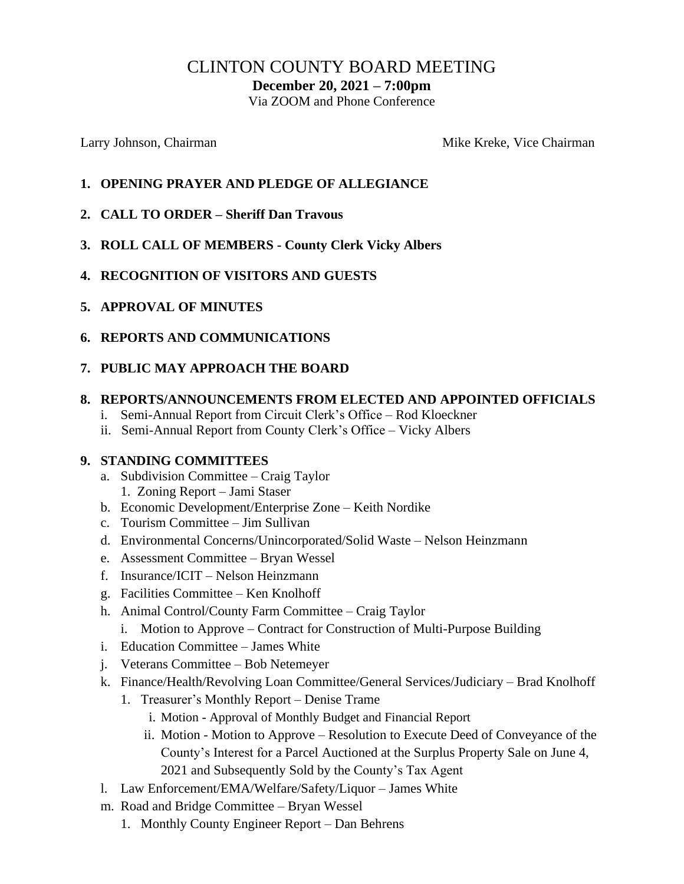# CLINTON COUNTY BOARD MEETING

**December 20, 2021 – 7:00pm**

Via ZOOM and Phone Conference

Larry Johnson, Chairman Mike Kreke, Vice Chairman Mike Kreke, Vice Chairman

- **1. OPENING PRAYER AND PLEDGE OF ALLEGIANCE**
- **2. CALL TO ORDER – Sheriff Dan Travous**
- **3. ROLL CALL OF MEMBERS - County Clerk Vicky Albers**
- **4. RECOGNITION OF VISITORS AND GUESTS**
- **5. APPROVAL OF MINUTES**
- **6. REPORTS AND COMMUNICATIONS**

#### **7. PUBLIC MAY APPROACH THE BOARD**

#### **8. REPORTS/ANNOUNCEMENTS FROM ELECTED AND APPOINTED OFFICIALS**

- i. Semi-Annual Report from Circuit Clerk's Office Rod Kloeckner
- ii. Semi-Annual Report from County Clerk's Office Vicky Albers

#### **9. STANDING COMMITTEES**

- a. Subdivision Committee Craig Taylor 1. Zoning Report – Jami Staser
- b. Economic Development/Enterprise Zone Keith Nordike
- c. Tourism Committee Jim Sullivan
- d. Environmental Concerns/Unincorporated/Solid Waste Nelson Heinzmann
- e. Assessment Committee Bryan Wessel
- f. Insurance/ICIT Nelson Heinzmann
- g. Facilities Committee Ken Knolhoff
- h. Animal Control/County Farm Committee Craig Taylor
	- i. Motion to Approve Contract for Construction of Multi-Purpose Building
- i. Education Committee James White
- j. Veterans Committee Bob Netemeyer
- k. Finance/Health/Revolving Loan Committee/General Services/Judiciary Brad Knolhoff
	- 1. Treasurer's Monthly Report Denise Trame
		- i. Motion Approval of Monthly Budget and Financial Report
		- ii. Motion Motion to Approve Resolution to Execute Deed of Conveyance of the County's Interest for a Parcel Auctioned at the Surplus Property Sale on June 4, 2021 and Subsequently Sold by the County's Tax Agent
- l. Law Enforcement/EMA/Welfare/Safety/Liquor James White
- m. Road and Bridge Committee Bryan Wessel
	- 1. Monthly County Engineer Report Dan Behrens